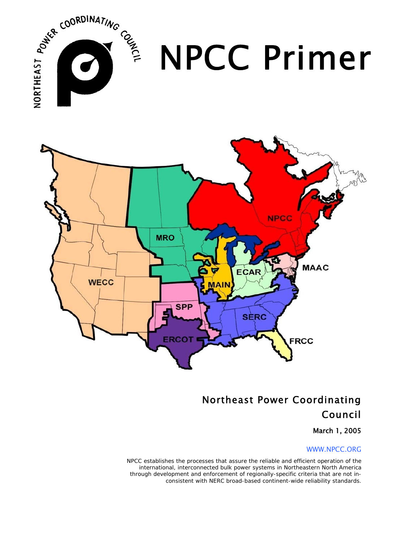

## Northeast Power Coordinating Council

### March 1, 2005

#### WWW.NPCC.ORG

*NPCC establishes the processes that assure the reliable and efficient operation of the international, interconnected bulk power systems in Northeastern North America through development and enforcement of regionally-specific criteria that are not inconsistent with NERC broad-based continent-wide reliability standards.*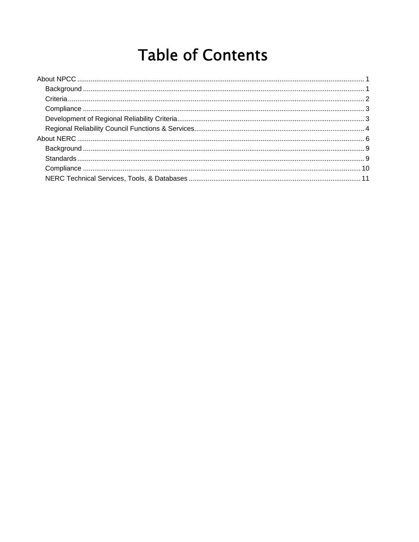# **Table of Contents**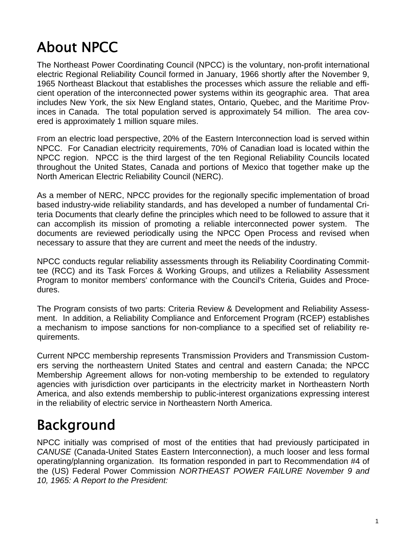# About NPCC

The Northeast Power Coordinating Council (NPCC) is the voluntary, non-profit international electric Regional Reliability Council formed in January, 1966 shortly after the November 9, 1965 Northeast Blackout that establishes the processes which assure the reliable and efficient operation of the interconnected power systems within its geographic area. That area includes New York, the six New England states, Ontario, Quebec, and the Maritime Provinces in Canada. The total population served is approximately 54 million. The area covered is approximately 1 million square miles.

From an electric load perspective, 20% of the Eastern Interconnection load is served within NPCC. For Canadian electricity requirements, 70% of Canadian load is located within the NPCC region. NPCC is the third largest of the ten Regional Reliability Councils located throughout the United States, Canada and portions of Mexico that together make up the North American Electric Reliability Council (NERC).

As a member of NERC, NPCC provides for the regionally specific implementation of broad based industry-wide reliability standards, and has developed a number of fundamental Criteria Documents that clearly define the principles which need to be followed to assure that it can accomplish its mission of promoting a reliable interconnected power system. The documents are reviewed periodically using the NPCC Open Process and revised when necessary to assure that they are current and meet the needs of the industry.

NPCC conducts regular reliability assessments through its Reliability Coordinating Committee (RCC) and its Task Forces & Working Groups, and utilizes a Reliability Assessment Program to monitor members' conformance with the Council's Criteria, Guides and Procedures.

The Program consists of two parts: Criteria Review & Development and Reliability Assessment. In addition, a Reliability Compliance and Enforcement Program (RCEP) establishes a mechanism to impose sanctions for non-compliance to a specified set of reliability requirements.

Current NPCC membership represents Transmission Providers and Transmission Customers serving the northeastern United States and central and eastern Canada; the NPCC Membership Agreement allows for non-voting membership to be extended to regulatory agencies with jurisdiction over participants in the electricity market in Northeastern North America, and also extends membership to public-interest organizations expressing interest in the reliability of electric service in Northeastern North America.

## Background

NPCC initially was comprised of most of the entities that had previously participated in *CANUSE* (Canada-United States Eastern Interconnection), a much looser and less formal operating/planning organization. Its formation responded in part to Recommendation #4 of the (US) Federal Power Commission *NORTHEAST POWER FAILURE November 9 and 10, 1965: A Report to the President:*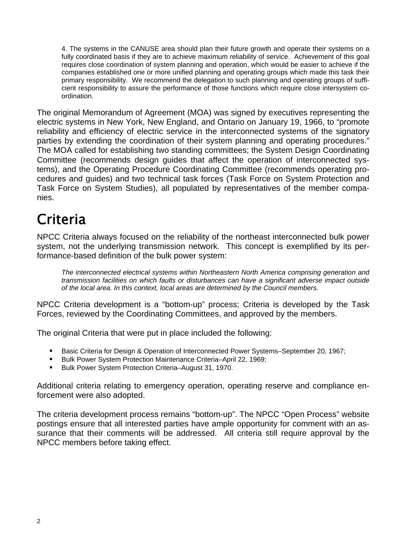4. The systems in the CANUSE area should plan their future growth and operate their systems on a fully coordinated basis if they are to achieve maximum reliability of service. Achievement of this goal requires close coordination of system planning and operation, which would be easier to achieve if the companies established one or more unified planning and operating groups which made this task their primary responsibility. We recommend the delegation to such planning and operating groups of sufficient responsibility to assure the performance of those functions which require close intersystem coordination.

The original Memorandum of Agreement (MOA) was signed by executives representing the electric systems in New York, New England, and Ontario on January 19, 1966, to "promote reliability and efficiency of electric service in the interconnected systems of the signatory parties by extending the coordination of their system planning and operating procedures." The MOA called for establishing two standing committees; the System Design Coordinating Committee (recommends design guides that affect the operation of interconnected systems), and the Operating Procedure Coordinating Committee (recommends operating procedures and guides) and two technical task forces (Task Force on System Protection and Task Force on System Studies), all populated by representatives of the member companies.

## **Criteria**

NPCC Criteria always focused on the reliability of the northeast interconnected bulk power system, not the underlying transmission network. This concept is exemplified by its performance-based definition of the bulk power system:

*The interconnected electrical systems within Northeastern North America comprising generation and transmission facilities on which faults or disturbances can have a significant adverse impact outside of the local area. In this context, local areas are determined by the Council members.* 

NPCC Criteria development is a "bottom-up" process; Criteria is developed by the Task Forces, reviewed by the Coordinating Committees, and approved by the members.

The original Criteria that were put in place included the following:

- **Basic Criteria for Design & Operation of Interconnected Power Systems–September 20, 1967;**
- Bulk Power System Protection Maintenance Criteria–April 22, 1969;
- Bulk Power System Protection Criteria–August 31, 1970.

Additional criteria relating to emergency operation, operating reserve and compliance enforcement were also adopted.

The criteria development process remains "bottom-up". The NPCC "Open Process" website postings ensure that all interested parties have ample opportunity for comment with an assurance that their comments will be addressed. All criteria still require approval by the NPCC members before taking effect.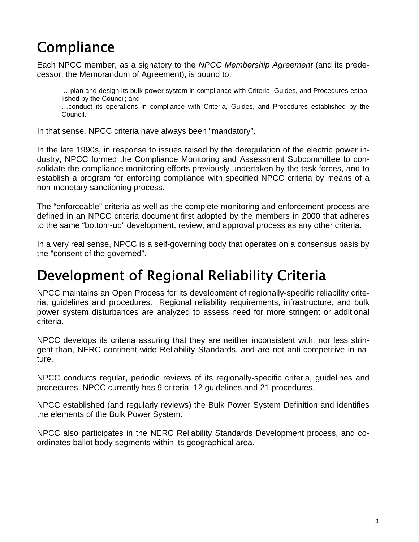## **Compliance**

Each NPCC member, as a signatory to the *NPCC Membership Agreement* (and its predecessor, the Memorandum of Agreement), is bound to:

 …plan and design its bulk power system in compliance with Criteria, Guides, and Procedures established by the Council; and,

…conduct its operations in compliance with Criteria, Guides, and Procedures established by the Council.

In that sense, NPCC criteria have always been "mandatory".

In the late 1990s, in response to issues raised by the deregulation of the electric power industry, NPCC formed the Compliance Monitoring and Assessment Subcommittee to consolidate the compliance monitoring efforts previously undertaken by the task forces, and to establish a program for enforcing compliance with specified NPCC criteria by means of a non-monetary sanctioning process.

The "enforceable" criteria as well as the complete monitoring and enforcement process are defined in an NPCC criteria document first adopted by the members in 2000 that adheres to the same "bottom-up" development, review, and approval process as any other criteria.

In a very real sense, NPCC is a self-governing body that operates on a consensus basis by the "consent of the governed".

## Development of Regional Reliability Criteria

NPCC maintains an Open Process for its development of regionally-specific reliability criteria, guidelines and procedures. Regional reliability requirements, infrastructure, and bulk power system disturbances are analyzed to assess need for more stringent or additional criteria.

NPCC develops its criteria assuring that they are neither inconsistent with, nor less stringent than, NERC continent-wide Reliability Standards, and are not anti-competitive in nature.

NPCC conducts regular, periodic reviews of its regionally-specific criteria, guidelines and procedures; NPCC currently has 9 criteria, 12 guidelines and 21 procedures.

NPCC established (and regularly reviews) the Bulk Power System Definition and identifies the elements of the Bulk Power System.

NPCC also participates in the NERC Reliability Standards Development process, and coordinates ballot body segments within its geographical area.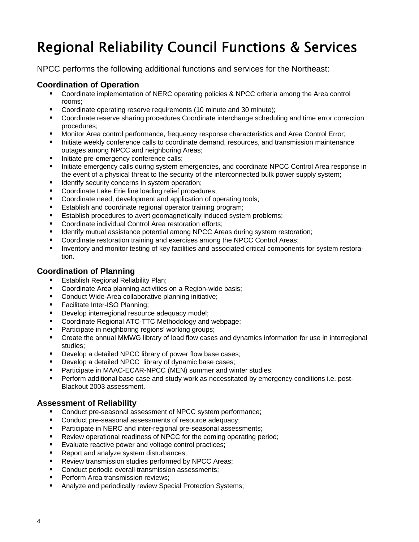# Regional Reliability Council Functions & Services

NPCC performs the following additional functions and services for the Northeast:

### **Coordination of Operation**

- Coordinate implementation of NERC operating policies & NPCC criteria among the Area control rooms;
- Coordinate operating reserve requirements (10 minute and 30 minute);
- **Coordinate reserve sharing procedures Coordinate interchange scheduling and time error correction** procedures;
- Monitor Area control performance, frequency response characteristics and Area Control Error;
- Initiate weekly conference calls to coordinate demand, resources, and transmission maintenance outages among NPCC and neighboring Areas;
- Initiate pre-emergency conference calls;
- Initiate emergency calls during system emergencies, and coordinate NPCC Control Area response in the event of a physical threat to the security of the interconnected bulk power supply system;
- Identify security concerns in system operation;
- **Coordinate Lake Erie line loading relief procedures;**
- Coordinate need, development and application of operating tools;
- **E** Establish and coordinate regional operator training program;
- **Establish procedures to avert geomagnetically induced system problems;**
- Coordinate individual Control Area restoration efforts:
- Identify mutual assistance potential among NPCC Areas during system restoration;
- Coordinate restoration training and exercises among the NPCC Control Areas;
- **Inventory and monitor testing of key facilities and associated critical components for system restora**tion.

### **Coordination of Planning**

- Establish Regional Reliability Plan;
- **Coordinate Area planning activities on a Region-wide basis;**
- Conduct Wide-Area collaborative planning initiative;
- **Facilitate Inter-ISO Planning;**
- **Develop interregional resource adequacy model;**
- Coordinate Regional ATC-TTC Methodology and webpage:
- **Participate in neighboring regions' working groups;**
- Create the annual MMWG library of load flow cases and dynamics information for use in interregional studies;
- **Develop a detailed NPCC library of power flow base cases;**
- Develop a detailed NPCC library of dynamic base cases;
- **Participate in MAAC-ECAR-NPCC (MEN) summer and winter studies:**
- Perform additional base case and study work as necessitated by emergency conditions i.e. post-Blackout 2003 assessment.

### **Assessment of Reliability**

- Conduct pre-seasonal assessment of NPCC system performance;
- Conduct pre-seasonal assessments of resource adequacy;
- **Participate in NERC and inter-regional pre-seasonal assessments;**
- **Review operational readiness of NPCC for the coming operating period;**
- Evaluate reactive power and voltage control practices;
- **Report and analyze system disturbances;**
- **Review transmission studies performed by NPCC Areas;**
- Conduct periodic overall transmission assessments;
- Perform Area transmission reviews;
- **Analyze and periodically review Special Protection Systems;**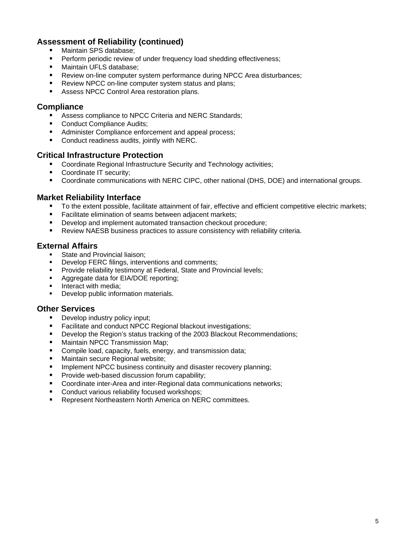### **Assessment of Reliability (continued)**

- Maintain SPS database;
- Perform periodic review of under frequency load shedding effectiveness;
- **Maintain UFLS database:**
- **Review on-line computer system performance during NPCC Area disturbances;**
- Review NPCC on-line computer system status and plans;
- **Assess NPCC Control Area restoration plans.**

#### **Compliance**

- Assess compliance to NPCC Criteria and NERC Standards;
- Conduct Compliance Audits;
- Administer Compliance enforcement and appeal process;
- **Conduct readiness audits, jointly with NERC.**

#### **Critical Infrastructure Protection**

- Coordinate Regional Infrastructure Security and Technology activities;
- Coordinate IT security;
- Coordinate communications with NERC CIPC, other national (DHS, DOE) and international groups.

#### **Market Reliability Interface**

- To the extent possible, facilitate attainment of fair, effective and efficient competitive electric markets;
- Facilitate elimination of seams between adjacent markets;
- **Develop and implement automated transaction checkout procedure;**
- Review NAESB business practices to assure consistency with reliability criteria.

#### **External Affairs**

- State and Provincial liaison;
- Develop FERC filings, interventions and comments;
- Provide reliability testimony at Federal, State and Provincial levels;
- Aggregate data for EIA/DOE reporting;
- Interact with media;
- Develop public information materials.

#### **Other Services**

- Develop industry policy input;
- Facilitate and conduct NPCC Regional blackout investigations;
- **Develop the Region's status tracking of the 2003 Blackout Recommendations;**
- Maintain NPCC Transmission Map;
- **Compile load, capacity, fuels, energy, and transmission data;**
- **Maintain secure Regional website:**
- **IMPLEMENT IMPOS** business continuity and disaster recovery planning;
- **Provide web-based discussion forum capability;**
- Coordinate inter-Area and inter-Regional data communications networks;
- **Conduct various reliability focused workshops;**
- Represent Northeastern North America on NERC committees.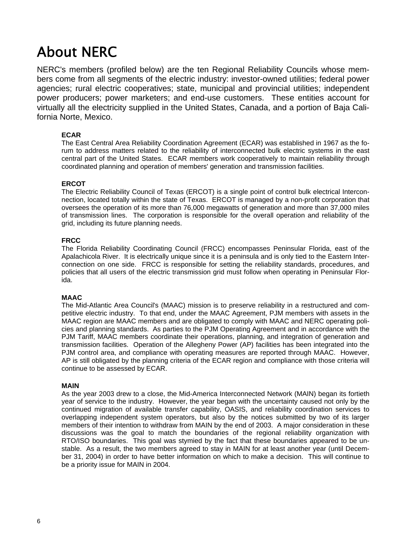## About NERC

NERC's members (profiled below) are the ten Regional Reliability Councils whose members come from all segments of the electric industry: investor-owned utilities; federal power agencies; rural electric cooperatives; state, municipal and provincial utilities; independent power producers; power marketers; and end-use customers. These entities account for virtually all the electricity supplied in the United States, Canada, and a portion of Baja California Norte, Mexico.

#### **ECAR**

The East Central Area Reliability Coordination Agreement (ECAR) was established in 1967 as the forum to address matters related to the reliability of interconnected bulk electric systems in the east central part of the United States. ECAR members work cooperatively to maintain reliability through coordinated planning and operation of members' generation and transmission facilities.

#### **ERCOT**

The Electric Reliability Council of Texas (ERCOT) is a single point of control bulk electrical Interconnection, located totally within the state of Texas. ERCOT is managed by a non-profit corporation that oversees the operation of its more than 76,000 megawatts of generation and more than 37,000 miles of transmission lines. The corporation is responsible for the overall operation and reliability of the grid, including its future planning needs.

#### **FRCC**

The Florida Reliability Coordinating Council (FRCC) encompasses Peninsular Florida, east of the Apalachicola River. It is electrically unique since it is a peninsula and is only tied to the Eastern Interconnection on one side. FRCC is responsible for setting the reliability standards, procedures, and policies that all users of the electric transmission grid must follow when operating in Peninsular Florida.

#### **MAAC**

The Mid-Atlantic Area Council's (MAAC) mission is to preserve reliability in a restructured and competitive electric industry. To that end, under the MAAC Agreement, PJM members with assets in the MAAC region are MAAC members and are obligated to comply with MAAC and NERC operating policies and planning standards. As parties to the PJM Operating Agreement and in accordance with the PJM Tariff, MAAC members coordinate their operations, planning, and integration of generation and transmission facilities. Operation of the Allegheny Power (AP) facilities has been integrated into the PJM control area, and compliance with operating measures are reported through MAAC. However, AP is still obligated by the planning criteria of the ECAR region and compliance with those criteria will continue to be assessed by ECAR.

#### **MAIN**

 As the year 2003 drew to a close, the Mid-America Interconnected Network (MAIN) began its fortieth year of service to the industry. However, the year began with the uncertainty caused not only by the continued migration of available transfer capability, OASIS, and reliability coordination services to overlapping independent system operators, but also by the notices submitted by two of its larger members of their intention to withdraw from MAIN by the end of 2003. A major consideration in these discussions was the goal to match the boundaries of the regional reliability organization with RTO/ISO boundaries. This goal was stymied by the fact that these boundaries appeared to be unstable. As a result, the two members agreed to stay in MAIN for at least another year (until December 31, 2004) in order to have better information on which to make a decision. This will continue to be a priority issue for MAIN in 2004.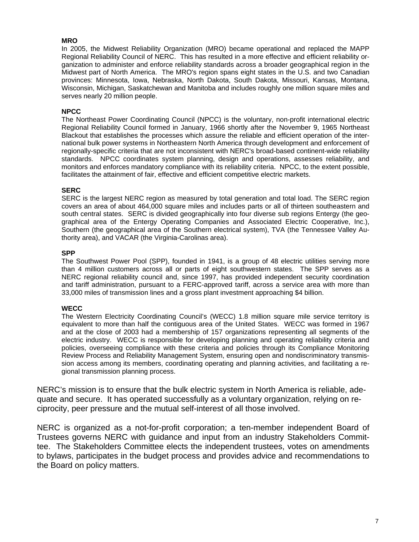#### **MRO**

 In 2005, the Midwest Reliability Organization (MRO) became operational and replaced the MAPP Regional Reliability Council of NERC. This has resulted in a more effective and efficient reliability organization to administer and enforce reliability standards across a broader geographical region in the Midwest part of North America. The MRO's region spans eight states in the U.S. and two Canadian provinces: Minnesota, Iowa, Nebraska, North Dakota, South Dakota, Missouri, Kansas, Montana, Wisconsin, Michigan, Saskatchewan and Manitoba and includes roughly one million square miles and serves nearly 20 million people.

#### **NPCC**

 The Northeast Power Coordinating Council (NPCC) is the voluntary, non-profit international electric Regional Reliability Council formed in January, 1966 shortly after the November 9, 1965 Northeast Blackout that establishes the processes which assure the reliable and efficient operation of the international bulk power systems in Northeastern North America through development and enforcement of regionally-specific criteria that are not inconsistent with NERC's broad-based continent-wide reliability standards. NPCC coordinates system planning, design and operations, assesses reliability, and monitors and enforces mandatory compliance with its reliability criteria. NPCC, to the extent possible, facilitates the attainment of fair, effective and efficient competitive electric markets.

#### **SERC**

SERC is the largest NERC region as measured by total generation and total load. The SERC region covers an area of about 464,000 square miles and includes parts or all of thirteen southeastern and south central states. SERC is divided geographically into four diverse sub regions Entergy (the geographical area of the Entergy Operating Companies and Associated Electric Cooperative, Inc.), Southern (the geographical area of the Southern electrical system), TVA (the Tennessee Valley Authority area), and VACAR (the Virginia-Carolinas area).

#### **SPP**

 The Southwest Power Pool (SPP), founded in 1941, is a group of 48 electric utilities serving more than 4 million customers across all or parts of eight southwestern states. The SPP serves as a NERC regional reliability council and, since 1997, has provided independent security coordination and tariff administration, pursuant to a FERC-approved tariff, across a service area with more than 33,000 miles of transmission lines and a gross plant investment approaching \$4 billion.

#### **WECC**

The Western Electricity Coordinating Council's (WECC) 1.8 million square mile service territory is equivalent to more than half the contiguous area of the United States. WECC was formed in 1967 and at the close of 2003 had a membership of 157 organizations representing all segments of the electric industry. WECC is responsible for developing planning and operating reliability criteria and policies, overseeing compliance with these criteria and policies through its Compliance Monitoring Review Process and Reliability Management System, ensuring open and nondiscriminatory transmission access among its members, coordinating operating and planning activities, and facilitating a regional transmission planning process.

NERC's mission is to ensure that the bulk electric system in North America is reliable, adequate and secure. It has operated successfully as a voluntary organization, relying on reciprocity, peer pressure and the mutual self-interest of all those involved.

NERC is organized as a not-for-profit corporation; a ten-member independent Board of Trustees governs NERC with guidance and input from an industry Stakeholders Committee. The Stakeholders Committee elects the independent trustees, votes on amendments to bylaws, participates in the budget process and provides advice and recommendations to the Board on policy matters.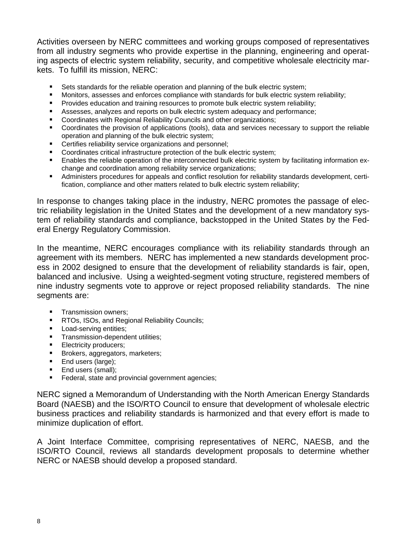Activities overseen by NERC committees and working groups composed of representatives from all industry segments who provide expertise in the planning, engineering and operating aspects of electric system reliability, security, and competitive wholesale electricity markets. To fulfill its mission, NERC:

- Sets standards for the reliable operation and planning of the bulk electric system;
- **Monitors, assesses and enforces compliance with standards for bulk electric system reliability;**
- **Provides education and training resources to promote bulk electric system reliability;**
- Assesses, analyzes and reports on bulk electric system adequacy and performance;
- Coordinates with Regional Reliability Councils and other organizations;
- Coordinates the provision of applications (tools), data and services necessary to support the reliable operation and planning of the bulk electric system;
- **EXEC** Certifies reliability service organizations and personnel;
- Coordinates critical infrastructure protection of the bulk electric system;
- Enables the reliable operation of the interconnected bulk electric system by facilitating information exchange and coordination among reliability service organizations;
- Administers procedures for appeals and conflict resolution for reliability standards development, certification, compliance and other matters related to bulk electric system reliability;

In response to changes taking place in the industry, NERC promotes the passage of electric reliability legislation in the United States and the development of a new mandatory system of reliability standards and compliance, backstopped in the United States by the Federal Energy Regulatory Commission.

In the meantime, NERC encourages compliance with its reliability standards through an agreement with its members. NERC has implemented a new standards development process in 2002 designed to ensure that the development of reliability standards is fair, open, balanced and inclusive. Using a weighted-segment voting structure, registered members of nine industry segments vote to approve or reject proposed reliability standards. The nine segments are:

- **Transmission owners;**
- **RTOs, ISOs, and Regional Reliability Councils;**
- **Load-serving entities:**
- **Transmission-dependent utilities;**
- **Electricity producers;**
- **Brokers, aggregators, marketers;**
- **End users (large);**
- **End users (small);**
- **Federal, state and provincial government agencies;**

NERC signed a Memorandum of Understanding with the North American Energy Standards Board (NAESB) and the ISO/RTO Council to ensure that development of wholesale electric business practices and reliability standards is harmonized and that every effort is made to minimize duplication of effort.

A Joint Interface Committee, comprising representatives of NERC, NAESB, and the ISO/RTO Council, reviews all standards development proposals to determine whether NERC or NAESB should develop a proposed standard.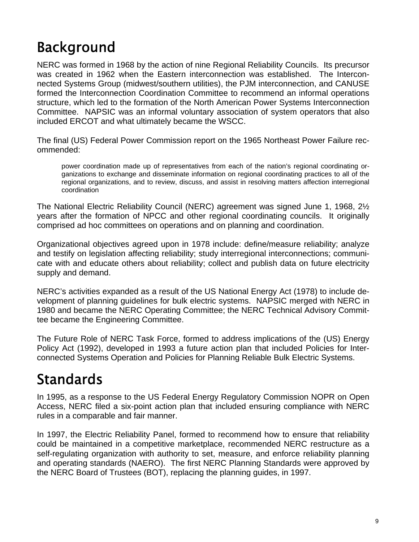## Background

NERC was formed in 1968 by the action of nine Regional Reliability Councils. Its precursor was created in 1962 when the Eastern interconnection was established. The Interconnected Systems Group (midwest/southern utilities), the PJM interconnection, and CANUSE formed the Interconnection Coordination Committee to recommend an informal operations structure, which led to the formation of the North American Power Systems Interconnection Committee. NAPSIC was an informal voluntary association of system operators that also included ERCOT and what ultimately became the WSCC.

The final (US) Federal Power Commission report on the 1965 Northeast Power Failure recommended:

power coordination made up of representatives from each of the nation's regional coordinating organizations to exchange and disseminate information on regional coordinating practices to all of the regional organizations, and to review, discuss, and assist in resolving matters affection interregional coordination

The National Electric Reliability Council (NERC) agreement was signed June 1, 1968, 2½ years after the formation of NPCC and other regional coordinating councils. It originally comprised ad hoc committees on operations and on planning and coordination.

Organizational objectives agreed upon in 1978 include: define/measure reliability; analyze and testify on legislation affecting reliability; study interregional interconnections; communicate with and educate others about reliability; collect and publish data on future electricity supply and demand.

NERC's activities expanded as a result of the US National Energy Act (1978) to include development of planning guidelines for bulk electric systems. NAPSIC merged with NERC in 1980 and became the NERC Operating Committee; the NERC Technical Advisory Committee became the Engineering Committee.

The Future Role of NERC Task Force, formed to address implications of the (US) Energy Policy Act (1992), developed in 1993 a future action plan that included Policies for Interconnected Systems Operation and Policies for Planning Reliable Bulk Electric Systems.

## Standards

In 1995, as a response to the US Federal Energy Regulatory Commission NOPR on Open Access, NERC filed a six-point action plan that included ensuring compliance with NERC rules in a comparable and fair manner.

In 1997, the Electric Reliability Panel, formed to recommend how to ensure that reliability could be maintained in a competitive marketplace, recommended NERC restructure as a self-regulating organization with authority to set, measure, and enforce reliability planning and operating standards (NAERO). The first NERC Planning Standards were approved by the NERC Board of Trustees (BOT), replacing the planning guides, in 1997.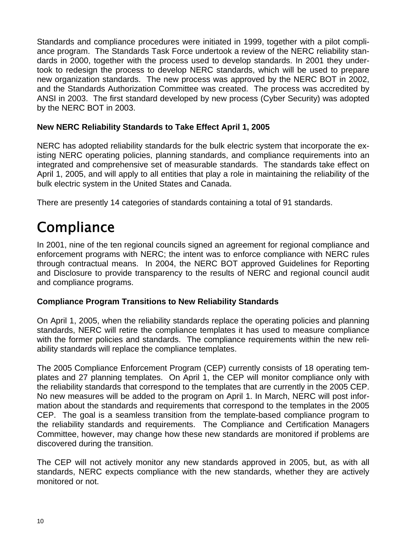Standards and compliance procedures were initiated in 1999, together with a pilot compliance program. The Standards Task Force undertook a review of the NERC reliability standards in 2000, together with the process used to develop standards. In 2001 they undertook to redesign the process to develop NERC standards, which will be used to prepare new organization standards. The new process was approved by the NERC BOT in 2002, and the Standards Authorization Committee was created. The process was accredited by ANSI in 2003. The first standard developed by new process (Cyber Security) was adopted by the NERC BOT in 2003.

### **New NERC Reliability Standards to Take Effect April 1, 2005**

NERC has adopted reliability standards for the bulk electric system that incorporate the existing NERC operating policies, planning standards, and compliance requirements into an integrated and comprehensive set of measurable standards. The standards take effect on April 1, 2005, and will apply to all entities that play a role in maintaining the reliability of the bulk electric system in the United States and Canada.

There are presently 14 categories of standards containing a total of 91 standards.

## **Compliance**

In 2001, nine of the ten regional councils signed an agreement for regional compliance and enforcement programs with NERC; the intent was to enforce compliance with NERC rules through contractual means. In 2004, the NERC BOT approved Guidelines for Reporting and Disclosure to provide transparency to the results of NERC and regional council audit and compliance programs.

### **Compliance Program Transitions to New Reliability Standards**

On April 1, 2005, when the reliability standards replace the operating policies and planning standards, NERC will retire the compliance templates it has used to measure compliance with the former policies and standards. The compliance requirements within the new reliability standards will replace the compliance templates.

The 2005 Compliance Enforcement Program (CEP) currently consists of 18 operating templates and 27 planning templates. On April 1, the CEP will monitor compliance only with the reliability standards that correspond to the templates that are currently in the 2005 CEP. No new measures will be added to the program on April 1. In March, NERC will post information about the standards and requirements that correspond to the templates in the 2005 CEP. The goal is a seamless transition from the template-based compliance program to the reliability standards and requirements. The Compliance and Certification Managers Committee, however, may change how these new standards are monitored if problems are discovered during the transition.

The CEP will not actively monitor any new standards approved in 2005, but, as with all standards, NERC expects compliance with the new standards, whether they are actively monitored or not.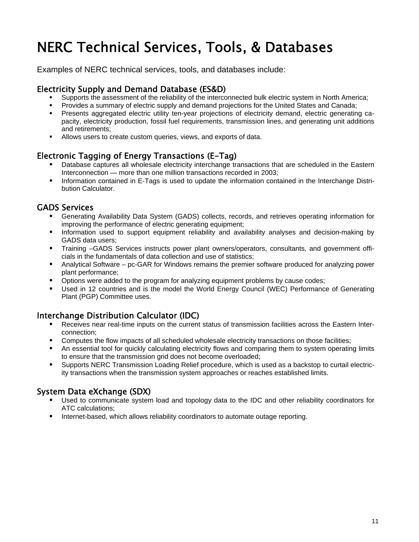## NERC Technical Services, Tools, & Databases

Examples of NERC technical services, tools, and databases include:

### Electricity Supply and Demand Database (ES&D)

- Supports the assessment of the reliability of the interconnected bulk electric system in North America;
- Provides a summary of electric supply and demand projections for the United States and Canada;
- Presents aggregated electric utility ten-year projections of electricity demand, electric generating capacity, electricity production, fossil fuel requirements, transmission lines, and generating unit additions and retirements;
- Allows users to create custom queries, views, and exports of data.

### Electronic Tagging of Energy Transactions (E-Tag)

- Database captures all wholesale electricity interchange transactions that are scheduled in the Eastern Interconnection — more than one million transactions recorded in 2003;
- Information contained in E-Tags is used to update the information contained in the Interchange Distribution Calculator.

### GADS Services

- Generating Availability Data System (GADS) collects, records, and retrieves operating information for improving the performance of electric generating equipment;
- Information used to support equipment reliability and availability analyses and decision-making by GADS data users;
- Training –GADS Services instructs power plant owners/operators, consultants, and government officials in the fundamentals of data collection and use of statistics;
- Analytical Software pc-GAR for Windows remains the premier software produced for analyzing power plant performance;
- **D** Options were added to the program for analyzing equipment problems by cause codes;
- Used in 12 countries and is the model the World Energy Council (WEC) Performance of Generating Plant (PGP) Committee uses.

### Interchange Distribution Calculator (IDC)

- Receives near real-time inputs on the current status of transmission facilities across the Eastern Interconnection;
- **Computes the flow impacts of all scheduled wholesale electricity transactions on those facilities;**
- An essential tool for quickly calculating electricity flows and comparing them to system operating limits to ensure that the transmission grid does not become overloaded;
- Supports NERC Transmission Loading Relief procedure, which is used as a backstop to curtail electricity transactions when the transmission system approaches or reaches established limits.

### System Data eXchange (SDX)

- Used to communicate system load and topology data to the IDC and other reliability coordinators for ATC calculations;
- Internet-based, which allows reliability coordinators to automate outage reporting.